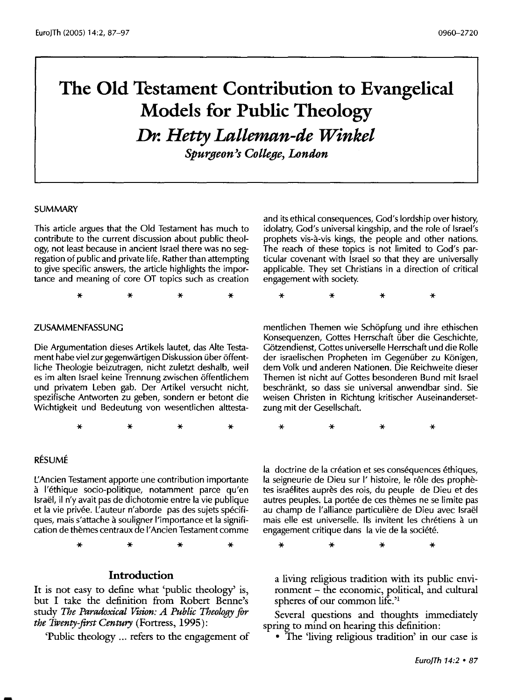# **The Old Testament Contribution to Evangelical Models for Public Theology**  *Dr. Hetty Lalleman-de Winkel Spurgeon's College, London*

#### SUMMARY

This article argues that the Old Testament has much to contribute to the current discussion about public theology, not least because in ancient Israel there was no segregation of public and private life. Rather than attempting to give specific answers, the article highlights the importance and meaning of core OT topics such as creation

\* \* \* \*

#### ZUSAMMENFASSUNG

Die Argumentation dieses Artikels lautet, das Alte Testament habe viel zur gegenwartigen Diskussion uber offentliche Theologie beizutragen, nicht zuletzt deshalb, weil es im alten Israel keine Trennung zwischen offentlichem und privatem Leben gab. Der Artikel versucht nicht, spezifische Antworten zu geben, sondern er betont die Wichtigkeit und Bedeutung von wesentlichen alttestaand its ethical consequences, God's lordship over history, idolatry, God's universal kingship, and the role of Israel's prophets vis-a-vis kings, the people and other nations. The reach of these topics is not limited to God's particular covenant with Israel so that they are universally applicable. They set Christians in a direction of critical engagement with society.

\* \* \* \*

mentlichen Themen wie Schopfung und ihre ethischen Konsequenzen, Gottes Herrschaft über die Geschichte, Götzendienst, Gottes universelle Herrschaft und die Rolle der israelischen Propheten im Gegenüber zu Königen, dem Volk und anderen Nationen. Die Reichweite dieser Themen ist nicht auf Gottes besonderen Bund mit Israel beschrankt, so dass sie universal anwendbar sind. Sie weisen Christen in Richtung kritischer Auseinandersetzung mit der Gesellschaft.

\* \* \* \*

### RESUME

L'Ancien Testament apporte une contribution importante a l'ethique socio-politique, notamment parce qu'en Israel, il n'y avait pas de dichotomie entre la vie publique et la vie privee. L'auteur n'aborde pas des sujets specifiques, mais s'attache a souligner !'importance et la signification de themes centraux de I' Ancien Testament comme

\* \* \* \*

## **Introduction**

It is not easy to define what 'public theology' is, but I take the definition from Robert Benne's study *The Paradoxical Vision: A Public Theology for the Twenty-first Century* (Fortress, 1995):

'Public theology ... refers to the engagement of

la doctrine de la création et ses conséquences éthiques, la seigneurie de Dieu sur l'histoire, le rôle des prophètes israélites auprès des rois, du peuple de Dieu et des autres peuples. La portée de ces thèmes ne se limite pas au champ de l'alliance particulière de Dieu avec Israël mais elle est universelle. lis invitent les chretiens a un engagement critique dans la vie de la société.

\* \* \* \*

\* \* \* \*

a living religious tradition with its public environment - the economic, political, and cultural spheres of our common life.'1

Several questions and thoughts immediately spring to mind on hearing this definition:

• The 'living religious tradition' in our case is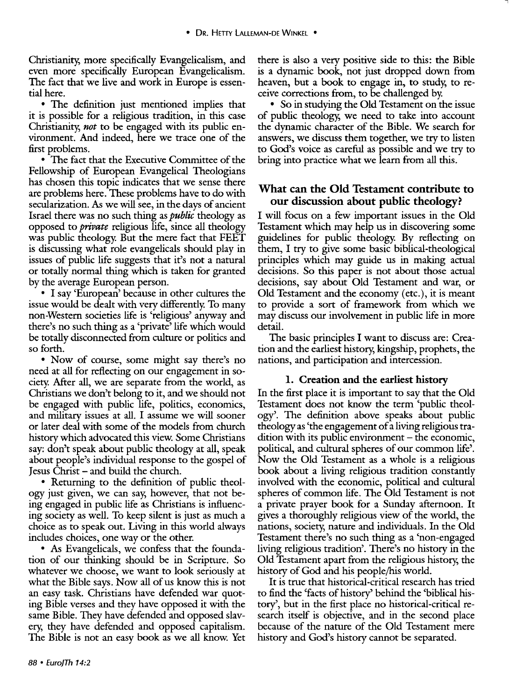Christianity, more specifically Evangelicalism, and even more specifically European Evangelicalism. The fact that we live and work in Europe is essential here.

• The definition just mentioned implies that it is possible for a religious tradition, in this case Christianity, *not* to be engaged with its public environment. And indeed, here we trace one of the first problems.

• The fact that the Executive Committee of the Fellowship of European Evangelical Theologians has chosen this topic indicates that we sense there are problems here. These problems have to do with secularization. *As* we will see, in the days of ancient Israel there was no such thing as public theology as opposed to *private* religious life, since all theology was public theology. But the mere fact that FEET is discussing what role evangelicals should play in issues of public life suggests that it's not a natural or totally normal thing which is taken for granted by the average European person.

• I say 'European' because in other cultures the issue would be dealt with very differently. To many non-Western societies life is 'religious' anyway and there's no such thing as a 'private' life which would be totally disconnected from culture or politics and so forth.

• Now of course, some might say there's no need at all for reflecting on our engagement in society. After all, we are separate from the world, as Christians we don't belong to it, and we should not be engaged with public life, politics, economics, and military issues at all. I assume we will sooner or later deal with some of the models from church history which advocated this view. Some Christians say: don't speak about public theology at all, speak about people's individual response to the gospel of Jesus Christ - and build the church.

• Returning to the definition of public theology just given, we can say, however, that not being engaged in public life as Christians is influencing society as well. To keep silent is just as much a choice as to speak out. Living in this world always includes choices, one way or the other.

• As Evangelicals, we confess that the foundation of our thinking should be in Scripture. So whatever we choose, we want to look seriously at what the Bible says. Now all of us know this is not an easy task. Christians have defended war quoting Bible verses and they have opposed it with the same Bible. They have defended and opposed slavery, they have defended and opposed capitalism. The Bible is not an easy book as we all know. Yet

there is also a very positive side to this: the Bible is a dynamic book, not just dropped down from heaven, but a book to engage in, to study, to receive corrections from, to be challenged by.

• So in studying the Old Testament on the issue of public theology, we need to take into account the dynamic character of the Bible. We search for answers, we discuss them together, we try to listen to God's voice as careful as possible and we try to bring into practice what we learn from all this.

# What can the Old Testament contribute to our discussion about public theology?

I will focus on a few important issues in the Old Testament which may help us in discovering some guidelines for public theology. By reflecting on them, I try to give some basic biblical-theological principles which may guide us in making actual decisions. So this paper is not about those actual decisions, say about Old Testament and war, or Old Testament and the economy (etc.), it is meant to provide a sort of framework from which we may discuss our involvement in public life in more detail.

The basic principles I want to discuss are: Creation and the earliest history, kingship, prophets, the nations, and participation and intercession.

#### 1. Creation and the earliest history

In the first place it is important to say that the Old Testament does not know the term 'public theology'. The definition above speaks about public theology as 'the engagement of a living religious tra $d$  dition with its public environment  $-$  the economic, political, and cultural spheres of our common life'. Now the Old Testament as a whole is a religious book about a living religious tradition constantly involved with the economic, political and cultural spheres of common life. The Old Testament is not a private prayer book for a Sunday afternoon. It gives a thoroughly religious view of the world, the nations, society, nature and individuals. In the Old Testament there's no such thing as a 'non-engaged living religious tradition'. There's no history in the Old Testament apart from the religious history, the history of God and his people/his world.

It is true that historical-critical research has tried to find the 'facts of history' behind the 'biblical history', but in the first place no historical-critical research itself is objective, and in the second place because of the nature of the Old Testament mere history and God's history cannot be separated.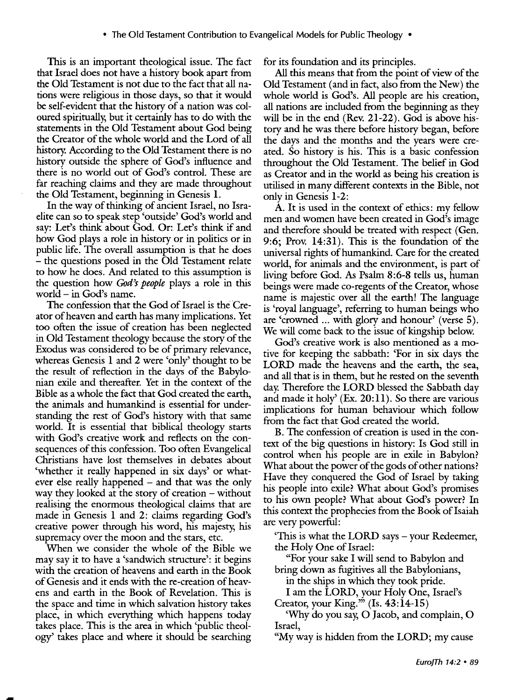This is an important theological issue. The fact that Israel does not have a history book apart from the Old Testament is not due to the fact that all nations were religious in those days, so that it would be self-evident that the history of a nation was coloured spiritually, but it certainly has to do with the statements in the Old Testament about God being the Creator of the whole world and the Lord of all history. According to the Old Testament there is no history outside the sphere of God's influence and there is no world out of God's control. These are far reaching claims and they are made throughout the Old Testament, beginning in Genesis l.

In the way of thinking of ancient Israel, no Israelite can so to speak step 'outside' God's world and say: Let's think about God. Or: Let's think if and how God plays a role in history or in politics or in public life. The overall assumption is that he does - the questions posed in the Old Testament relate to how he does. And related to this assumption is the question how *God's peaple* plays a role in this world - in God's name.

The confession that the God of Israel is the Creator of heaven and earth has many implications. Yet too often the issue of creation has been neglected in Old Testament theology because the story of the Exodus was considered to be of primary relevance, whereas Genesis l and 2 were 'only' thought to be the result of reflection in the days of the Babylonian exile and thereafter. Yet in the context of the Bible as a whole the fact that God created the earth, the animals and humankind is essential for understanding the rest of God's history with that same world. It is essential that biblical theology starts with God's creative work and reflects on the consequences of this confession. Too often Evangelical Christians have lost themselves in debates about 'whether it really happened in six days' or whatever else really happened – and that was the only way they looked at the story of creation – without realising the enormous theological claims that are made in Genesis l and 2: claims regarding God's creative power through his word, his majesty, his supremacy over the moon and the stars, etc.

When we consider the whole of the Bible we may say it to have a 'sandwich structure': it begins with the creation of heavens and earth in the Book of Genesis and it ends with the re-creation of heavens and earth in the Book of Revelation. This is the space and time in which salvation history takes place, in which everything which happens today takes place. This is the area in which 'public theology' takes place and where it should be searching for its foundation and its principles.

All this means that from the point of view of the Old Testament (and in fact, also from the New) the whole world is God's. All people are his creation, all nations are included from the beginning as they will be in the end (Rev. 21-22). God is above history and he was there before history began, before the days and the months and the years were created. So history is his. This is a basic confession throughout the Old Testament. The belief in God as Creator and in the world as being his creation is utilised in many different contexts in the Bible, not only in Genesis 1-2:

A. It is used in the context of ethics: my fellow men and women have been created in God's image and therefore should be treated with respect (Gen. 9:6; Prov. 14:31). This is the foundation of the universal rights of humankind. Care for the created world, for animals and the environment, is part of living before God. As Psalm 8:6-8 tells us, human beings were made eo-regents of the Creator, whose name is majestic over all the earth! The language is 'royal language', referring to human beings who are 'crowned ... with glory and honour' (verse 5). We will come back to the issue of kingship below.

God's creative work is also mentioned as a motive for keeping the sabbath: 'For in six days the LORD made the heavens and the earth, the sea, and all that is in them, but he rested on the seventh day. Therefore the LORD blessed the Sabbath day and made it holy'  $(Ex. 20:11)$ . So there are various implications for human behaviour which follow from the fact that God created the world.

B. The confession of creation is used in the context of the big questions in history: Is God still in control when his people are in exile in Babylon? What about the power of the gods of other nations? Have they conquered the God of Israel by taking his people into exile? What about God's promises to his own people? What about God's power? In this context the prophecies from the Book of Isaiah are very powerful:

'This is what the LORD says - your Redeemer, the Holy One of Israel:

"For your sake I will send to Babylon and bring down as fugitives all the Babylonians,

in the ships in which they took pride.

I am the LORD, your Holy One, Israel's Creator, your King."  $(Is. 43:14-15)$ 

'Why do you say, 0 Jacob, and complain, 0 Israel,

"My way is hidden from the LORD; my cause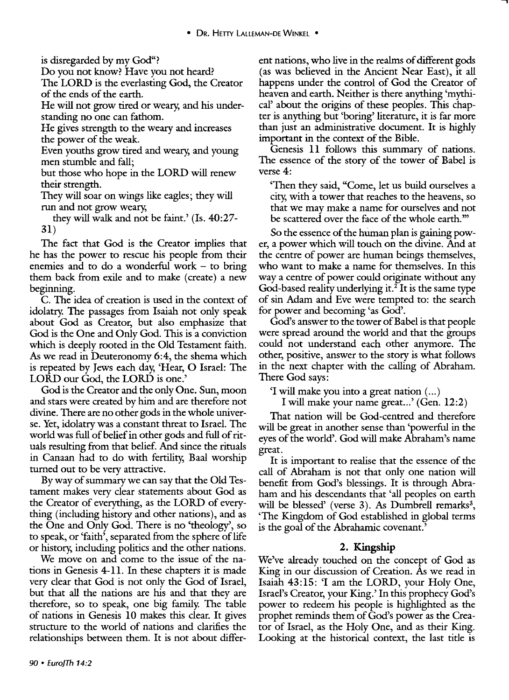is disregarded by my God"?

Do you not know? Have you not heard?

The LORD is the everlasting God, the Creator of the ends of the earth.

He will not grow tired or weary, and his understanding no one can fathom.

He gives strength to the weary and increases the power of the weak.

Even youths grow tired and weary, and young men stumble and fall;

but those who hope in the LORD will renew their strength.

They will soar on wings like eagles; they will run and not grow weary,

they will walk and not be faint.' (Is. 40:27- 31)

The fact that God is the Creator implies that he has the power to rescue his people from their enemies and to do a wonderful work  $-$  to bring them back from exile and to make (create) a new beginning.

C. The idea of creation is used in the context of idolatry. The passages from Isaiah not only speak about God as Creator, but also emphasize that God is the One and Only God. This is a conviction which is deeply rooted in the Old Testament faith. As we read in Deuteronomy 6:4, the shema which is repeated by Jews each day, 'Hear, 0 Israel: The LORD our God, the LORD is one.'

God is the Creator and the only One. Sun, moon and stars were created by him and are therefore not divine. There are no other gods in the whole universe. Yet, idolatry was a constant threat to Israel. The world was full of belief in other gods and full of rituals resulting from that belief. And since the rituals in Canaan had to do with fertility, Baal worship turned out to be very attractive.

By way of summary we can say that the Old Testament makes very clear statements about God as the Creator of everything, as the LORD of everything (including history and other nations), and as the One and Only God. There is no 'theology', so to speak, or 'faith', separated from the sphere of life or history, including politics and the other nations.

We move on and come to the issue of the nations in Genesis 4-11. In these chapters it is made very clear that God is not only the God of Israel, but that all the nations are his and that they are therefore, so to speak, one big family. The table of nations in Genesis 10 makes this clear. It gives structure to the world of nations and clarifies the relationships between them. It is not about different nations, who live in the realms of different gods (as was believed in the Ancient Near East), it all happens under the control of God the Creator of heaven and earth. Neither is there anything 'mythical' about the origins of these peoples. This chapter is anything but 'boring' literature, it is far more than just an administrative document. It is highly important in the context of the Bible.

Genesis **11** follows this summary of nations. The essence of the story of the tower of Babel is verse 4:

'Then they said, "Come, let us build ourselves a city, with a tower that reaches to the heavens, so that we may make a name for ourselves and not be scattered over the face of the whole earth."'

So the essence of the human plan is gaining power, a power which will touch on the divine. And at the centre of power are human beings themselves, who want to make a name for themselves. In this way a centre of power could originate without any God-based reality underlying it.<sup>2</sup> It is the same type of sin Adam and Eve were tempted to: the search for power and becoming 'as God'.

God's answer to the tower of Babel is that people were spread around the world and that the groups could not understand each other anymore. The other, positive, answer to the story is what follows in the next chapter with the calling of Abraham. There God says:

'I will make you into a great nation ( ... )

I will make your name great...' (Gen.  $12:2$ )

That nation will be God-centred and therefore will be great in another sense than 'powerful in the eyes of the world'. God will make Abraham's name great.

It is important to realise that the essence of the call of Abraham is not that only one nation will benefit from God's blessings. It is through Abraham and his descendants that 'all peoples on earth will be blessed' (verse  $3$ ). As Dumbrell remarks<sup>3</sup>, 'The Kingdom of God established in global terms is the goal of the Abrahamic covenant.'

# **2. Kingship**

We've already touched on the concept of God as King in our discussion of Creation. As we read in Isaiah 43:15: 'I am the LORD, your Holy One, Israel's Creator, your King.' In this prophecy God's power to redeem his people is highlighted as the prophet reminds them of God's power as the Creator of Israel, as the Holy One, and as their King. Looking at the historical context, the last title is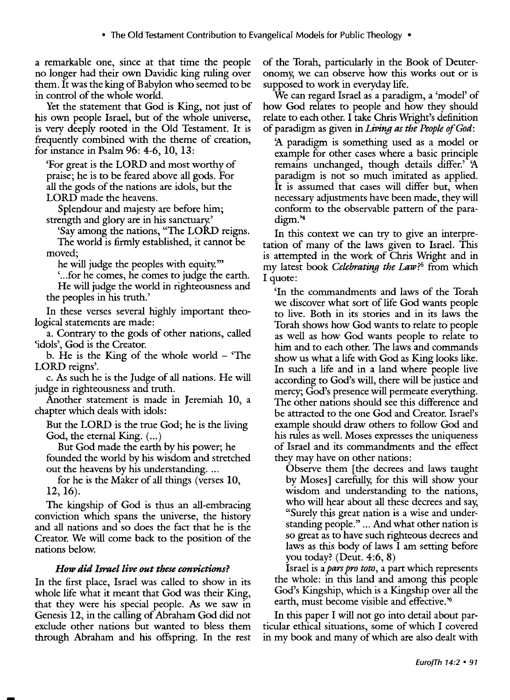a remarkable one, since at that time the people no longer had their own Davidic king ruling over them. It was the king of Babylon who seemed to be in control of the whole world.

Yet the statement that God is King, not just of his own people Israel, but of the whole universe, is very deeply rooted in the Old Testament. It is frequently combined with the theme of creation, for instance in Psalm 96: 4-6, 10, 13:

'For great is the LORD and most worthy of praise; he is to be feared above all gods. For all the gods of the nations are idols, but the LORD made the heavens.

Splendour and majesty are before him; strength and glory are in his sanctuary.'

'Say among the nations, "The LORD reigns. The world is firmly established, it cannot be moved;

he will judge the peoples with equity."'

' ... for he comes, he comes to judge the earth. He will judge the world in righteousness and the peoples in his truth.'

In these verses several highly important theological statements are made:

a. Contrary to the gods of other nations, called 'idols', God is the Creator.

b. He is the King of the whole world  $-$  The LORD reigns'.

c. *As* such he is the Judge of all nations. He will judge in righteousness and truth.

Another statement is made in Jeremiah 10, a chapter which deals with idols:

But the LORD is the true God; he is the living God, the eternal King.  $(...)$ 

But God made the earth by his power; he founded the world by his wisdom and stretched out the heavens by his understanding....

for he is the Maker of all things (verses 10, 12, 16).

The kingship of God is thus an all-embracing conviction which spans the universe, the history and all nations and so does the fact that he is the Creator. We will come back to the position of the nations below.

# *How did Israel live out these convictions?*

In the first place, Israel was called to show in its whole life what it meant that God was their King, that they were his special people. *As* we saw in Genesis 12, in the calling of Abraham God did not exclude other nations but wanted to bless them through Abraham and his offspring. In the rest of the Torah, particularly in the Book of Deuteronomy, we can observe how this works out or is supposed to work in everyday life.

We can regard Israel as a paradigm, a 'model' of how God relates to people and how they should relate to each other. I take Chris Wright's definition of paradigm as given in *Living as the People of God:* 

*1\* paradigm is something used as a model or example for other cases where a basic principle remains unchanged, though details differ.' *1\*  paradigm is not so much imitated as applied. It is assumed that cases will differ but, when necessary adjustments have been made, they will conform to the observable pattern of the paradigm.'4

In this context we can try to give an interpretation of many of the laws given to Israel. This is attempted in the work of Chris Wright and in my latest book *Celebrating the Law?5* from which I quote:

'In the commandments and laws of the Torah we discover what sort of life God wants people to live. Both in its stories and in its laws the Torah shows how God wants to relate to people as well as how God wants people to relate to him and to each other. The laws and commands show us what a life with God as King looks like. In such a life and in a land where people live according to God's will, there will be justice and mercy; God's presence will permeate everything. The other nations should see this difference and be attracted to the one God and Creator. Israel's example should draw others to follow God and his rules as well. Moses expresses the uniqueness of Israel and its commandments and the effect they may have on other nations:

Observe them [the decrees and laws taught by Moses] carefully, for this will show your wisdom and understanding to the nations, who will hear about all these decrees and say, "Surely this great nation is a wise and understanding people." ... And what other nation is so great as to have such righteous decrees and laws as this body of laws I am setting before you today? (Deut. 4:6, 8)

Israel is a *pars pro toto,* a part which represents the whole: in this land and among this people God's Kingship, which is a Kingship over all the earth, must become visible and effective. ' 6

In this paper I will not go into detail about particular ethical situations, some of which I covered in my book and many of which are also dealt with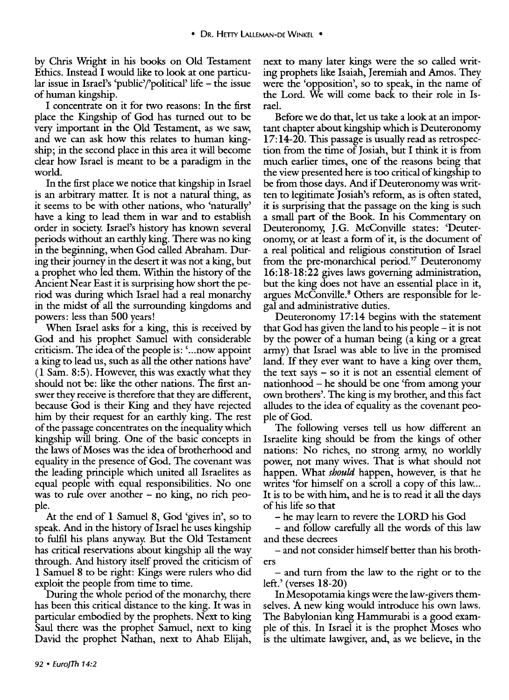by Chris Wright in his books on Old Testament Ethics. Instead I would like to look at one particular issue in Israel's 'public'/'political' life  $-$  the issue of human kingship.

I concentrate on it for two reasons: In the first place the Kingship of God has turned out to be very important in the Old Testament, as we saw, and we can ask how this relates to human kingship; in the second place in this area it will become clear how Israel is meant to be a paradigm in the world.

In the first place we notice that kingship in Israel is an arbitrary matter. It is not a natural thing, as it seems to be with other nations, who 'naturally' have a king to lead them in war and to establish order in society. Israel's history has known several periods without an earthly king. There was no king in the beginning, when God called Abraham. During their journey in the desert it was not a king, but a prophet who led them. Within the history of the Ancient Near East it is surprising how short the period was during which Israel had a real monarchy in the midst of all the surrounding kingdoms and powers: less than 500 years!

When Israel asks for a king, this is received by God and his prophet Samuel with considerable criticism. The idea of the people is: ' ... now appoint a king to lead us, such as all the other nations have'  $(1 Sam. 8:5)$ . However, this was exactly what they should not be: like the other nations. The first answer they receive is therefore that they are different, because God is their King and they have rejected him by their request for an earthly king. The rest of the passage concentrates on the inequality which kingship will bring. One of the basic concepts in the laws of Moses was the idea of brotherhood and equality in the presence of God. The covenant was the leading principle which united all Israelites as equal people with equal responsibilities. No one was to rule over another - no king, no rich people.

At the end of 1 Samuel 8, God 'gives in', so to speak. And in the history of Israel he uses kingship to fulfil his plans anyway. But the Old Testament has critical reservations about kingship all the way through. And history itself proved the criticism of 1 Samuel 8 to be right: Kings were rulers who did exploit the people from time to time.

During the whole period of the monarchy, there has been this critical distance to the king. It was in particular embodied by the prophets. Next to king Saul there was the prophet Samuel, next to king David the prophet Nathan, next to Ahab Elijah, next to many later kings were the so called writing prophets like Isaiah, Jeremiah and Amos. They were the 'opposition', so to speak, in the name of the Lord. We will come back to their role in Israel.

Before we do that, let us take a look at an important chapter about kingship which is Deuteronomy 17:14-20. This passage is usually read as retrospection from the time of Josiah, but I think it is from much earlier times, one of the reasons being that the view presented here is too critical of kingship to be from those days. And if Deuteronomy was written to legitimate Josiah's reform, as is often stated, it is surprising that the passage on the king is such a small part of the Book. In his Commentary on Deuteronomy, J.G. McConville states: 'Deuteronomy, or at least a form of it, is the document of a real political and religious constitution of Israel from the pre-monarchical period.'7 Deuteronomy 16:18-18:22 gives laws governing administration, but the king does not have an essential place in it, argues McConville. 8 Others are responsible for legal and administrative duties.

Deuteronomy 17:14 begins with the statement that God has given the land to his people  $-$  it is not by the power of a human being (a king or a great army) that Israel was able to live in the promised land. If they ever want to have a king over them, the text says  $-$  so it is not an essential element of nationhood - he should be one 'from among your own brothers'. The king is my brother, and this fact alludes to the idea of equality as the covenant people of God.

The following verses tell us how different an Israelite king should be from the kings of other nations: No riches, no strong army, no worldly power, not many wives. That is what should not happen. What *should* happen, however, is that he writes 'for himself on a scroll a copy of this law... It is to be with him, and he is to read it all the days of his life so that

-he may learn to revere the LORD his God

- and follow carefully all the words of this law and these decrees

-and not consider himself better than his brothers

- and turn from the law to the right or to the left.' (verses 18-20)

In Mesopotamia kings were the law-givers themselves. A new king would introduce his own laws. The Babylonian king Harnmurabi is a good example of this. In Israel it is the prophet Moses who is the ultimate lawgiver, and, as we believe, in the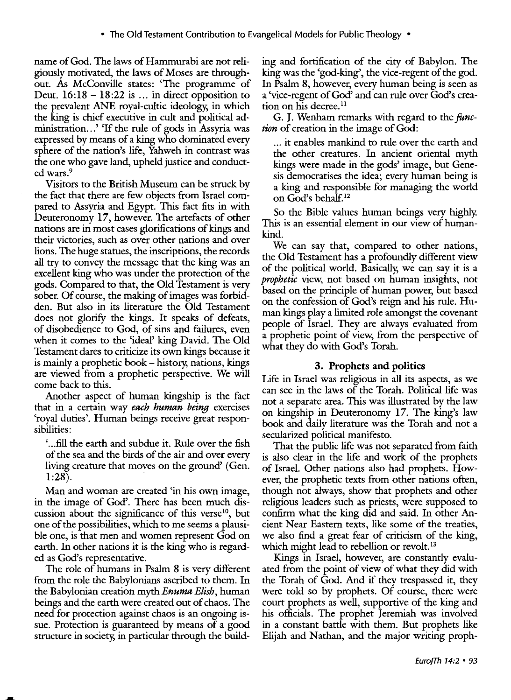name of God. The laws of Hammurabi are not religiously motivated, the laws of Moses are throughout. *As* McConville states: 'The programme of Deut.  $16:18 - 18:22$  is ... in direct opposition to the prevalent ANE royal-cultic ideology, in which the king is chief executive in cult and political administration...' If the rule of gods in Assyria was expressed by means of a king who dominated every sphere of the nation's life, Yahweh in contrast was the one who gave land, upheld justice and conducted wars.9

Visitors to the British Museum can be struck by the fact that there are few objects from Israel compared to Assyria and Egypt. This fact fits in with Deuteronomy 17, however. The artefacts of other nations are in most cases glorifications of kings and their victories, such as over other nations and over lions. The huge statues, the inscriptions, the records all try to convey the message that the king was an excellent king who was under the protection of the gods. Compared to that, the Old Testament is very sober. Of course, the making of images was forbidden. But also in its literature the Old Testament does not glorify the kings. It speaks of defeats, of disobedience to God, of sins and failures, even when it comes to the 'ideal' king David. The Old Testament dares to criticize its own kings because it is mainly a prophetic book – history, nations, kings are viewed from a prophetic perspective. We will come back to this.

Another aspect of human kingship is the fact that in a certain way *each human being* exercises 'royal duties'. Human beings receive great responsibilities:

' ... fill the earth and subdue it. Rule over the fish of the sea and the birds of the air and over every living creature that moves on the ground' (Gen.  $1:28$ ).

Man and woman are created 'in his own image, in the image of God'. There has been much discussion about the significance of this verse<sup>10</sup>, but one of the possibilities, which to me seems a plausible one, is that men and women represent God on earth. In other nations it is the king who is regarded as God's representative.

The role of humans in Psalm 8 is very different from the role the Babylonians ascribed to them. In the Babylonian creation *mythEnumaElish,* human beings and the earth were created out of chaos. The need for protection against chaos is an ongoing issue. Protection is guaranteed by means of a good structure in society, in particular through the building and fortification of the city of Babylon. The king was the 'god-king', the vice-regent of the god. In Psalm 8, however, every human being is seen as a 'vice-regent of God' and can rule over God's creation on his decree.<sup>11</sup>

G. J. Wenham remarks with regard to the *func*tion of creation in the image of God:

... it enables mankind to rule over the earth and the other creatures. In ancient oriental myth kings were made in the gods' image, but Genesis democratises the idea; every human being is a king and responsible for managing the world on God's behalf. 12

So the Bible values human beings very highly. This is an essential element in our view of humankind.

We can say that, compared to other nations, the Old Testament has a profoundly different view of the political world. Basically, we can say it is a *prophetic* view, not based on human insights, not based on the principle of human power, but based on the confession of God's reign and his rule. Human kings play a limited role amongst the covenant people of Israel. They are always evaluated from a prophetic point of view, from the perspective of what they do with God's Torah.

# 3. Prophets and politics

Life in Israel was religious in all its aspects, as we can see in the laws of the Torah. Political life was not a separate area. This was illustrated by the law on kingship in Deuteronomy 17. The king's law book and daily literature was the Torah and not a secularized political manifesto.

That the public life was not separated from faith is also clear in the life and work of the prophets of Israel. Other nations also had prophets. However, the prophetic texts from other nations often, though not always, show that prophets and other religious leaders such as priests, were supposed to confirm what the king did and said. In other Ancient Near Eastern texts, like some of the treaties, we also find a great fear of criticism of the king, which might lead to rebellion or revolt.<sup>13</sup>

Kings in Israel, however, are constantly evaluated from the point of view of what they did with the Torah of God. And if they trespassed it, they were told so by prophets. Of course, there were court prophets as well, supportive of the king and his officials. The prophet Jeremiah was involved in a constant battle with them. But prophets like Elijah and Nathan, and the major writing proph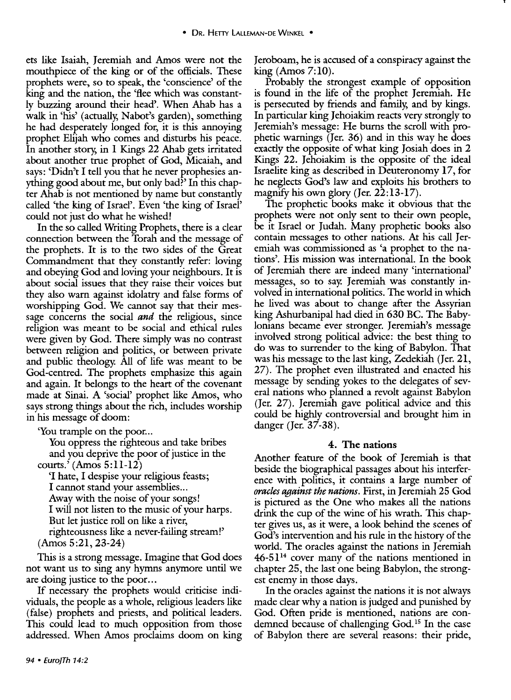ets like Isaiah, Jeremiah and Amos were not the mouthpiece of the king or of the officials. These prophets were, so to speak, the 'conscience' of the king and the nation, the 'flee which was constantly buzzing around their head'. When Ahab has a walk in 'his' (actually; Nabot's garden), something he had desperately longed for, it is this annoying prophet Elijah who comes and disturbs his peace. In another story; in **1** Kings 22 Ahab gets irritated about another true prophet of God, Micaiah, and says: 'Didn't I tell you that he never prophesies anything good about me, but only bad?' In this chapter Ahab is not mentioned by name but constantly called 'the king of Israel'. Even 'the king of Israel' could not just do what he wished!

In the so called Writing Prophets, there is a clear connection between the Torah and the message of the prophets. It is to the two sides of the Great Commandment that they constantly refer: loving and obeying God and loving your neighbours. It is about social issues that they raise their voices but they also warn against idolatry and false forms of worshipping God. We cannot say that their message concerns the social *and* the religious, since religion was meant to be social and ethical rules were given by God. There simply was no contrast between religion and politics, or between private and public theology. All of life was meant to be God-centred. The prophets emphasize this again and again. It belongs to the heart of the covenant made at Sinai. A 'social' prophet like Amos, who says strong things about the rich, includes worship in his message of doom:

'You trample on the poor...

You oppress the righteous and take bribes and you deprive the poor of justice in the

courts.' (Amos 5:11-12) 'I hate, I despise your religious feasts; I cannot stand your assemblies ... Away with the noise of your songs! I will not listen to the music of your harps. But let justice roll on like a river, righteousness like a never-failing stream!' (Amos 5:21, 23-24)

This is a strong message. Imagine that God does not want us to sing any hymns anymore until we are doing justice to the poor...

If necessary the prophets would criticise individuals, the people as a whole, religious leaders like (false) prophets and priests, and political leaders. This could lead to much opposition from those addressed. When Amos proclaims doom on king Jeroboam, he is accused of a conspiracy against the king (Amos 7:10).

Probably the strongest example of opposition is found in the life of the prophet Jeremiah. He is persecuted by friends and family; and by kings. In particular king Jehoiakim reacts very strongly to Jeremiah's message: He burns the scroll with prophetic warnings (Jer. 36) and in this way he does exactly the opposite of what king Josiah does in 2 Kings 22. Jehoiakim is the opposite of the ideal Israelite king as described in Deuteronomy 17, for he neglects God's law and exploits his brothers to magnify his own glory (Jer. 22:13-17).

The prophetic books make it obvious that the prophets were not only sent to their own people, be it Israel or Judah. Many prophetic books also contain messages to other nations. At his call Jeremiah was commissioned as 'a prophet to the nations'. His mission was international. In the book of Jeremiah there are indeed many 'international' messages, so to say. Jeremiah was constantly involved in international politics. The world in which he lived was about to change after the Assyrian king Ashurbanipal had died in 630 BC. The Babylonians became ever stronger. Jeremiah's message involved strong political advice: the best thing to do was to surrender to the king of Babylon. That was his message to the last king, Zedekiah (Jer. 21, 27). The prophet even illustrated and enacted his message by sending yokes to the delegates of several nations who planned a revolt against Babylon (Jer. 27). Jeremiah gave political advice and this could be highly controversial and brought him in danger (Jer. 37-38).

# **4. The nations**

Another feature of the book of Jeremiah is that beside the biographical passages about his interference with politics, it contains a large number of *oracles against the nations.* First, in Jeremiah 25 God is pictured as the One who makes all the nations drink the cup of the wine of his wrath. This chapter gives us, as it were, a look behind the scenes of God's intervention and his rule in the history of the world. The oracles against the nations in Jeremiah  $46-51<sup>14</sup>$  cover many of the nations mentioned in chapter 25, the last one being Babylon, the strongest enemy in those days.

In the oracles against the nations it is not always made clear why a nation is judged and punished by God. Often pride is mentioned, nations are condemned because of challenging God. 15 In the case of Babylon there are several reasons: their pride,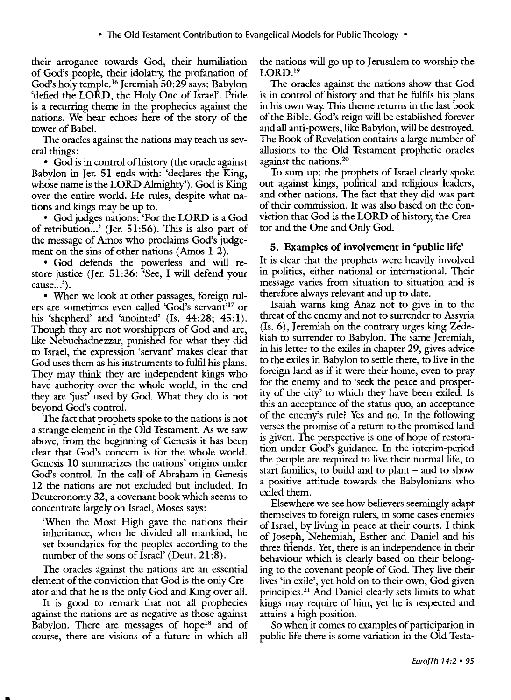their arrogance towards God, their humiliation of God's people, their idolatry, the profanation of God's holy temple. 16 Jeremiah 50:29 says: Babylon 'defied the LORD, the Holy One of Israel'. Pride is a recurring theme in the prophecies against the nations. We hear echoes here of the story of the tower of Babel.

The oracles against the nations may teach us several things:

• God is in control of history (the oracle against Babylon in Jer. 51 ends with: 'declares the King, whose name is the LORD Almighty'). God is King over the entire world. He rules, despite what nations and kings may be up to.

• God judges nations: 'For the LORD is a God of retribution ... ' (Jer. 51:56). This is also part of the message of Amos who proclaims God's judgement on the sins of other nations (Amos 1-2).

• God defends the powerless and will restore justice (Jer. 51:36: 'See, I will defend your cause...').

• When we look at other passages, foreign rulers are sometimes even called 'God's servant'17 or his 'shepherd' and 'anointed' (Is. 44:28; 45:1). Though they are not worshippers of God and are, like Nebuchadnezzar, punished for what they did to Israel, the expression 'servant' makes clear that God uses them as his instruments to fulfil his plans. They may think they are independent kings who have authority over the whole world, in the end they are 'just' used by God. What they do is not beyond God's control.

The fact that prophets spoke to the nations is not a strange element in the Old Testament. As we saw above, from the beginning of Genesis it has been clear that God's concern is for the whole world. Genesis 10 summarizes the nations' origins under God's control. In the call· of Abraham in Genesis 12 the nations are not excluded but included. In Deuteronomy 32, a covenant book which seems to concentrate largely on Israel, Moses says:

'When the Most High gave the nations their inheritance, when he divided all mankind, he set boundaries for the peoples according to the number of the sons of Israel' (Deut.  $21:8$ ).

The oracles against the nations are an essential element of the conviction that God is the only Creator and that he is the only God and King over all.

It is good to remark that not all prophecies against the nations are as negative as those against Babylon. There are messages of hope<sup>18</sup> and of course, there are visions of a future in which all

the nations will go up to Jerusalem to worship the LORD.<sup>19</sup>

The oracles against the nations show that God is in control of history and that he fulfils his plans in his own way. This theme returns in the last book of the Bible. God's reign will be established forever and all anti-powers, like Babylon, will be destroyed. The Book of Revelation contains a large number of allusions to the Old Testament prophetic oracles against the nations.<sup>20</sup>

To sum up: the prophets of Israel clearly spoke out against kings, political and religious leaders, and other nations. The fact that they did was part of their commission. It was also based on the conviction that God is the LORD of history, the Creator and the One and Only God.

# 5. Examples of involvement in 'public life'

It is clear that the prophets were heavily involved in politics, either national or international. Their message varies from situation to situation and is therefore always relevant and up to date.

Isaiah warns king Ahaz not to give in to the threat of the enemy and not to surrender to Assyria (Is. 6), Jeremiah on the contrary urges king Zedekiah to surrender to Babylon. The same Jeremiah, in his letter to the exiles in chapter 29, gives advice to the exiles in Babylon to settle there, to live in the foreign land as if it were their home, even to pray for the enemy and to 'seek the peace and prosperity of the city' to which they have been exiled. Is this an acceptance of the status quo, an acceptance of the enemy's rule? Yes and no. In the following verses the promise of a return to the promised land is given. The perspective is one of hope of restoration under God's guidance. In the interim-period the people are required to live their normal life, to start families, to build and to plant – and to show a positive attitude towards the Babylonians who exiled them.

Elsewhere we see how believers seemingly adapt themselves to foreign rulers, in some cases enemies of Israel, by living in peace at their courts. I think of Joseph, Nehemiah, Esther and Daniel and his three friends. Yet, there is an independence in their behaviour which is clearly based on their belonging to the covenant people of God. They live their lives 'in exile', yet hold on to their own, God given principles.21 And Daniel clearly sets limits to what kings may require of him, yet he is respected and attains a high position.

So when it comes to examples of participation in public life there is some variation in the Old Testa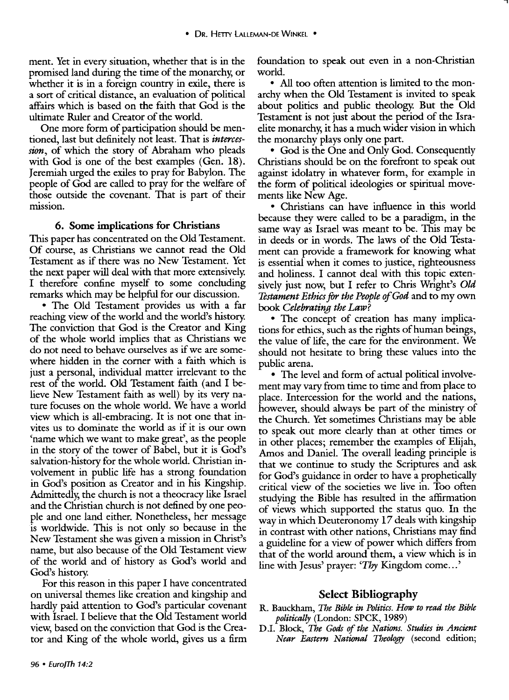ment. Yet in every situation, whether that is in the promised land during the time of the monarchy, or whether it is in a foreign country in exile, there is a sort of critical distance, an evaluation of political affairs which is based on the faith that God is the ultimate Ruler and Creator of the world.

One more form of participation should be mentioned, last but definitely not least. That is *intercession,* of which the story of Abraham who pleads with God is one of the best examples (Gen. 18). Jeremiah urged the exiles to pray for Babylon. The people of God are called to pray for the welfare of those outside the covenant. That is part of their mission.

#### 6. Some implications for Christians

This paper has concentrated on the Old Testament. Of course, as Christians we cannot read the Old Testament as if there was no New Testament. Yet the next paper will deal with that more extensively. I therefore confine myself to some concluding remarks which may be helpful for our discussion.

• The Old Testament provides us with a far reaching view of the world and the world's history. The conviction that God is the Creator and King of the whole world implies that as Christians we do not need to behave ourselves as if we are somewhere hidden in the corner with a faith which is just a personal, individual matter irrelevant to the rest of the world. Old Testament faith (and I believe New Testament faith as well) by its very nature focuses on the whole world. We have a world view which is all-embracing. It is not one that invites us to dominate the world as if it is our own 'name which we want to make great', as the people in the story of the tower of Babel, but it is God's salvation-history for the whole world. Christian involvement in public life has a strong foundation in God's position as Creator and in his Kingship. Admittedly, the church is not a theocracy like Israel and the Christian church is not defined by one people and one land either. Nonetheless, her message is worldwide. This is not only so because in the New Testament she was given a mission in Christ's name, but also because of the Old Testament view of the world and of history as God's world and God's history.

For this reason in this paper I have concentrated on universal themes like creation and kingship and hardly paid attention to God's particular covenant with Israel. I believe that the Old Testament world view, based on the conviction that God is the Creator and King of the whole world, gives us a firm

96 • Euro]Th 14:2

foundation to speak out even in a non-Christian world.

• All too often attention is limited to the monarchy when the Old Testament is invited to speak about politics and public theology. But the Old Testament is not just about the period of the Israelite monarchy, it has a much wider vision in which the monarchy plays only one part.

• God is the One and Only God. Consequently Christians should be on the forefront to speak out against idolatry in whatever form, for example in the form of political ideologies or spiritual movements like New Age.

• Christians can have influence in this world because they were called to be a paradigm, in the same way as Israel was meant to be. This may be in deeds or in words. The laws of the Old Testament can provide a framework for knowing what is essential when it comes to justice, righteousness and holiness. I cannot deal with this topic extensively just now, but I refer to Chris Wright's *Old Testament Ethics* for *the People of God* and to my own book *Celebrating the Law?* 

• The concept of creation has many implications for ethics, such as the rights of human beings, the value of life, the care for the environment. We should not hesitate to bring these values into the public arena.

• The level and form of actual political involvement may vary from time to time and from place to place. Intercession for the world and the nations, however, should always be part of the ministry of the Church. Yet sometimes Christians may be able to speak out more clearly than at other times or in other places; remember the examples of Elijah, Amos and Daniel. The overall leading principle is that we continue to study the Scriptures and ask for God's guidance in order to have a prophetically critical view of the societies we live in. Too often studying the Bible has resulted in the affirmation of views which supported the status quo. In the way in which Deuteronomy 17 deals with kingship in contrast with other nations, Christians may find a guideline for a view of power which differs from that of the world around them, a view which is in line with Jesus' prayer: *Thy* Kingdom come...'

#### Select Bibliography

- R. Bauckham, *The Bible in Politics. Huw to read the Bible politically* (London: SPCK, 1989)
- DJ. Block, *The Gods of the Nations. Studies in Ancient Near Eastern National Theology* (second edition;